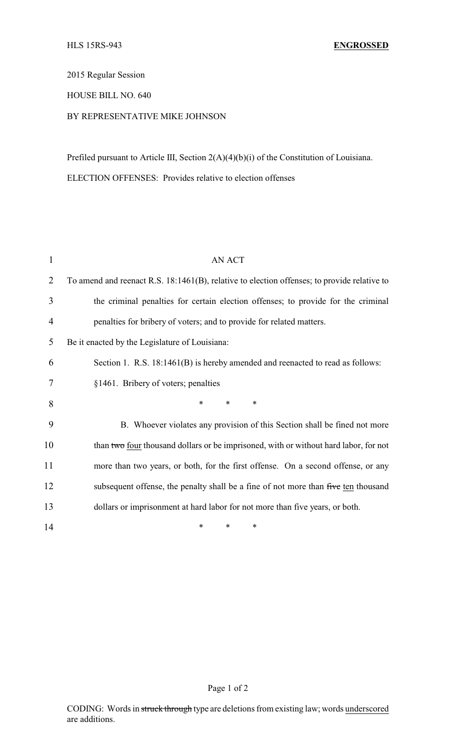2015 Regular Session

## HOUSE BILL NO. 640

## BY REPRESENTATIVE MIKE JOHNSON

Prefiled pursuant to Article III, Section 2(A)(4)(b)(i) of the Constitution of Louisiana. ELECTION OFFENSES: Provides relative to election offenses

| 1              | <b>AN ACT</b>                                                                               |
|----------------|---------------------------------------------------------------------------------------------|
| $\overline{2}$ | To amend and reenact R.S. 18:1461(B), relative to election offenses; to provide relative to |
| 3              | the criminal penalties for certain election offenses; to provide for the criminal           |
| 4              | penalties for bribery of voters; and to provide for related matters.                        |
| 5              | Be it enacted by the Legislature of Louisiana:                                              |
| 6              | Section 1. R.S. 18:1461(B) is hereby amended and reenacted to read as follows:              |
| 7              | §1461. Bribery of voters; penalties                                                         |
| 8              | $\ast$<br>$\ast$<br>*                                                                       |
| 9              | B. Whoever violates any provision of this Section shall be fined not more                   |
| 10             | than two four thousand dollars or be imprisoned, with or without hard labor, for not        |
| 11             | more than two years, or both, for the first offense. On a second offense, or any            |
| 12             | subsequent offense, the penalty shall be a fine of not more than five ten thousand          |
| 13             | dollars or imprisonment at hard labor for not more than five years, or both.                |
| 14             | $\ast$<br>∗<br>*                                                                            |